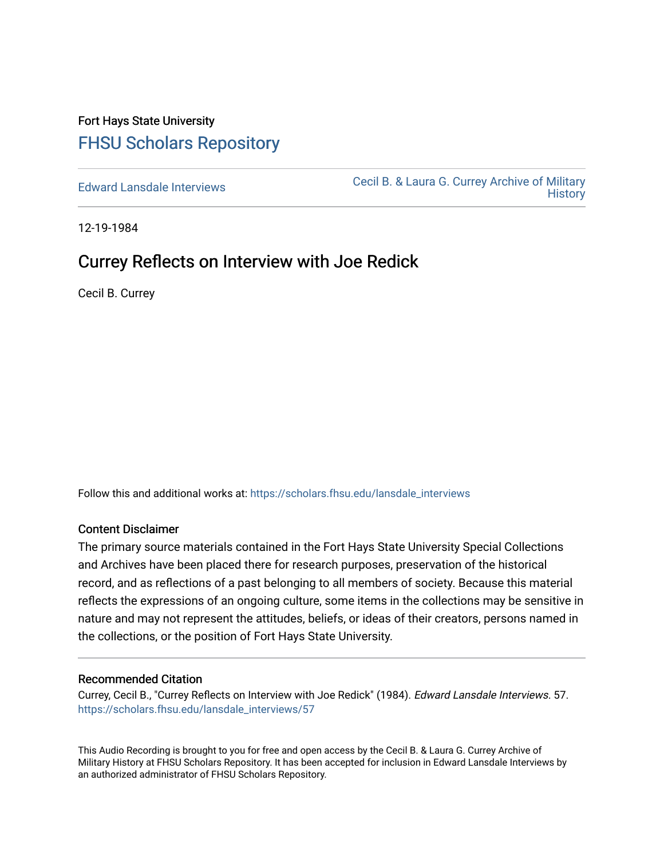## Fort Hays State University [FHSU Scholars Repository](https://scholars.fhsu.edu/)

[Edward Lansdale Interviews](https://scholars.fhsu.edu/lansdale_interviews) [Cecil B. & Laura G. Currey Archive of Military](https://scholars.fhsu.edu/currey)  **History** 

12-19-1984

## Currey Reflects on Interview with Joe Redick

Cecil B. Currey

Follow this and additional works at: [https://scholars.fhsu.edu/lansdale\\_interviews](https://scholars.fhsu.edu/lansdale_interviews?utm_source=scholars.fhsu.edu%2Flansdale_interviews%2F57&utm_medium=PDF&utm_campaign=PDFCoverPages) 

## Content Disclaimer

The primary source materials contained in the Fort Hays State University Special Collections and Archives have been placed there for research purposes, preservation of the historical record, and as reflections of a past belonging to all members of society. Because this material reflects the expressions of an ongoing culture, some items in the collections may be sensitive in nature and may not represent the attitudes, beliefs, or ideas of their creators, persons named in the collections, or the position of Fort Hays State University.

## Recommended Citation

Currey, Cecil B., "Currey Reflects on Interview with Joe Redick" (1984). Edward Lansdale Interviews. 57. [https://scholars.fhsu.edu/lansdale\\_interviews/57](https://scholars.fhsu.edu/lansdale_interviews/57?utm_source=scholars.fhsu.edu%2Flansdale_interviews%2F57&utm_medium=PDF&utm_campaign=PDFCoverPages)

This Audio Recording is brought to you for free and open access by the Cecil B. & Laura G. Currey Archive of Military History at FHSU Scholars Repository. It has been accepted for inclusion in Edward Lansdale Interviews by an authorized administrator of FHSU Scholars Repository.